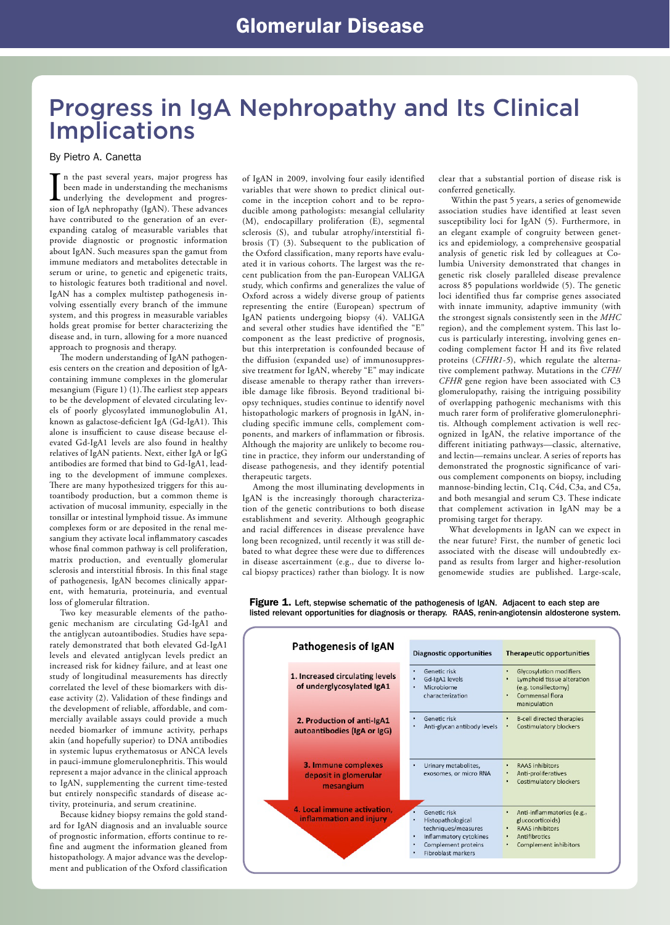### Progress in IgA Nephropathy and Its Clinical Implications

#### By Pietro A. Canetta

In the past several years, major progress has<br>been made in understanding the mechanisms<br>underlying the development and progres-<br>sion of IgA nephropathy (IgAN). These advances n the past several years, major progress has been made in understanding the mechanisms underlying the development and progreshave contributed to the generation of an everexpanding catalog of measurable variables that provide diagnostic or prognostic information about IgAN. Such measures span the gamut from immune mediators and metabolites detectable in serum or urine, to genetic and epigenetic traits, to histologic features both traditional and novel. IgAN has a complex multistep pathogenesis involving essentially every branch of the immune system, and this progress in measurable variables holds great promise for better characterizing the disease and, in turn, allowing for a more nuanced approach to prognosis and therapy.

The modern understanding of IgAN pathogenesis centers on the creation and deposition of IgAcontaining immune complexes in the glomerular mesangium (Figure 1) (1).The earliest step appears to be the development of elevated circulating levels of poorly glycosylated immunoglobulin A1, known as galactose-deficient IgA (Gd-IgA1). This alone is insufficient to cause disease because elevated Gd-IgA1 levels are also found in healthy relatives of IgAN patients. Next, either IgA or IgG antibodies are formed that bind to Gd-IgA1, leading to the development of immune complexes. There are many hypothesized triggers for this autoantibody production, but a common theme is activation of mucosal immunity, especially in the tonsillar or intestinal lymphoid tissue. As immune complexes form or are deposited in the renal mesangium they activate local inflammatory cascades whose final common pathway is cell proliferation, matrix production, and eventually glomerular sclerosis and interstitial fibrosis. In this final stage of pathogenesis, IgAN becomes clinically apparent, with hematuria, proteinuria, and eventual loss of glomerular filtration.

Two key measurable elements of the pathogenic mechanism are circulating Gd-IgA1 and the antiglycan autoantibodies. Studies have separately demonstrated that both elevated Gd-IgA1 levels and elevated antiglycan levels predict an increased risk for kidney failure, and at least one study of longitudinal measurements has directly correlated the level of these biomarkers with disease activity (2). Validation of these findings and the development of reliable, affordable, and commercially available assays could provide a much needed biomarker of immune activity, perhaps akin (and hopefully superior) to DNA antibodies in systemic lupus erythematosus or ANCA levels in pauci-immune glomerulonephritis. This would represent a major advance in the clinical approach to IgAN, supplementing the current time-tested but entirely nonspecific standards of disease activity, proteinuria, and serum creatinine.

Because kidney biopsy remains the gold standard for IgAN diagnosis and an invaluable source of prognostic information, efforts continue to refine and augment the information gleaned from histopathology. A major advance was the development and publication of the Oxford classification

of IgAN in 2009, involving four easily identified variables that were shown to predict clinical outcome in the inception cohort and to be reproducible among pathologists: mesangial cellularity (M), endocapillary proliferation (E), segmental sclerosis (S), and tubular atrophy/interstitial fibrosis (T) (3). Subsequent to the publication of the Oxford classification, many reports have evaluated it in various cohorts. The largest was the recent publication from the pan-European VALIGA study, which confirms and generalizes the value of Oxford across a widely diverse group of patients representing the entire (European) spectrum of IgAN patients undergoing biopsy (4). VALIGA and several other studies have identified the "E" component as the least predictive of prognosis, but this interpretation is confounded because of the diffusion (expanded use) of immunosuppressive treatment for IgAN, whereby "E" may indicate disease amenable to therapy rather than irreversible damage like fibrosis. Beyond traditional biopsy techniques, studies continue to identify novel histopathologic markers of prognosis in IgAN, including specific immune cells, complement components, and markers of inflammation or fibrosis. Although the majority are unlikely to become routine in practice, they inform our understanding of disease pathogenesis, and they identify potential therapeutic targets.

Among the most illuminating developments in IgAN is the increasingly thorough characterization of the genetic contributions to both disease establishment and severity. Although geographic and racial differences in disease prevalence have long been recognized, until recently it was still debated to what degree these were due to differences in disease ascertainment (e.g., due to diverse local biopsy practices) rather than biology. It is now

clear that a substantial portion of disease risk is conferred genetically.

 Within the past 5 years, a series of genomewide association studies have identified at least seven susceptibility loci for IgAN (5). Furthermore, in an elegant example of congruity between genetics and epidemiology, a comprehensive geospatial analysis of genetic risk led by colleagues at Columbia University demonstrated that changes in genetic risk closely paralleled disease prevalence across 85 populations worldwide (5). The genetic loci identified thus far comprise genes associated with innate immunity, adaptive immunity (with the strongest signals consistently seen in the *MHC*  region), and the complement system. This last locus is particularly interesting, involving genes encoding complement factor H and its five related proteins (*CFHR1-5*), which regulate the alternative complement pathway. Mutations in the *CFH/ CFHR* gene region have been associated with C3 glomerulopathy, raising the intriguing possibility of overlapping pathogenic mechanisms with this much rarer form of proliferative glomerulonephritis. Although complement activation is well recognized in IgAN, the relative importance of the different initiating pathways—classic, alternative, and lectin—remains unclear. A series of reports has demonstrated the prognostic significance of various complement components on biopsy, including mannose-binding lectin, C1q, C4d, C3a, and C5a, and both mesangial and serum C3. These indicate that complement activation in IgAN may be a promising target for therapy.

What developments in IgAN can we expect in the near future? First, the number of genetic loci associated with the disease will undoubtedly expand as results from larger and higher-resolution genomewide studies are published. Large-scale,

Figure 1. Left, stepwise schematic of the pathogenesis of IgAN. Adjacent to each step are listed relevant opportunities for diagnosis or therapy. RAAS, renin-angiotensin aldosterone system.

| Pathogenesis of IgAN                                         | <b>Diagnostic opportunities</b>                                                                                                           | <b>Therapeutic opportunities</b>                                                                                                         |
|--------------------------------------------------------------|-------------------------------------------------------------------------------------------------------------------------------------------|------------------------------------------------------------------------------------------------------------------------------------------|
| 1. Increased circulating levels<br>of underglycosylated IgA1 | Genetic risk<br>٠<br>Gd-IgA1 levels<br>٠<br>Microbiome<br>٠<br>characterization                                                           | <b>Glycosylation modifiers</b><br>٠<br>Lymphoid tissue alteration<br>(e.g. tonsillectomy)<br>Commensal flora<br>manipulation             |
| 2. Production of anti-IgA1<br>autoantibodies (IgA or IgG)    | Genetic risk<br>٠<br>Anti-glycan antibody levels                                                                                          | <b>B-cell directed therapies</b><br>٠<br>Costimulatory blockers<br>٠                                                                     |
| 3. Immune complexes<br>deposit in glomerular<br>mesangium    | Urinary metabolites,<br>٠<br>exosomes, or micro RNA                                                                                       | <b>RAAS</b> inhibitors<br>٠<br>Anti-proliferatives<br>٠<br><b>Costimulatory blockers</b><br>٠                                            |
| 4. Local immune activation.<br>inflammation and injury       | Genetic risk<br>Histopathological<br>techniques/measures<br>Inflammatory cytokines<br>٠<br>Complement proteins<br>٠<br>Fibroblast markers | Anti-inflammatories (e.g.,<br>٠<br>glucocorticoids)<br><b>RAAS</b> inhibitors<br><b>Antifibrotics</b><br>٠<br>Complement inhibitors<br>٠ |